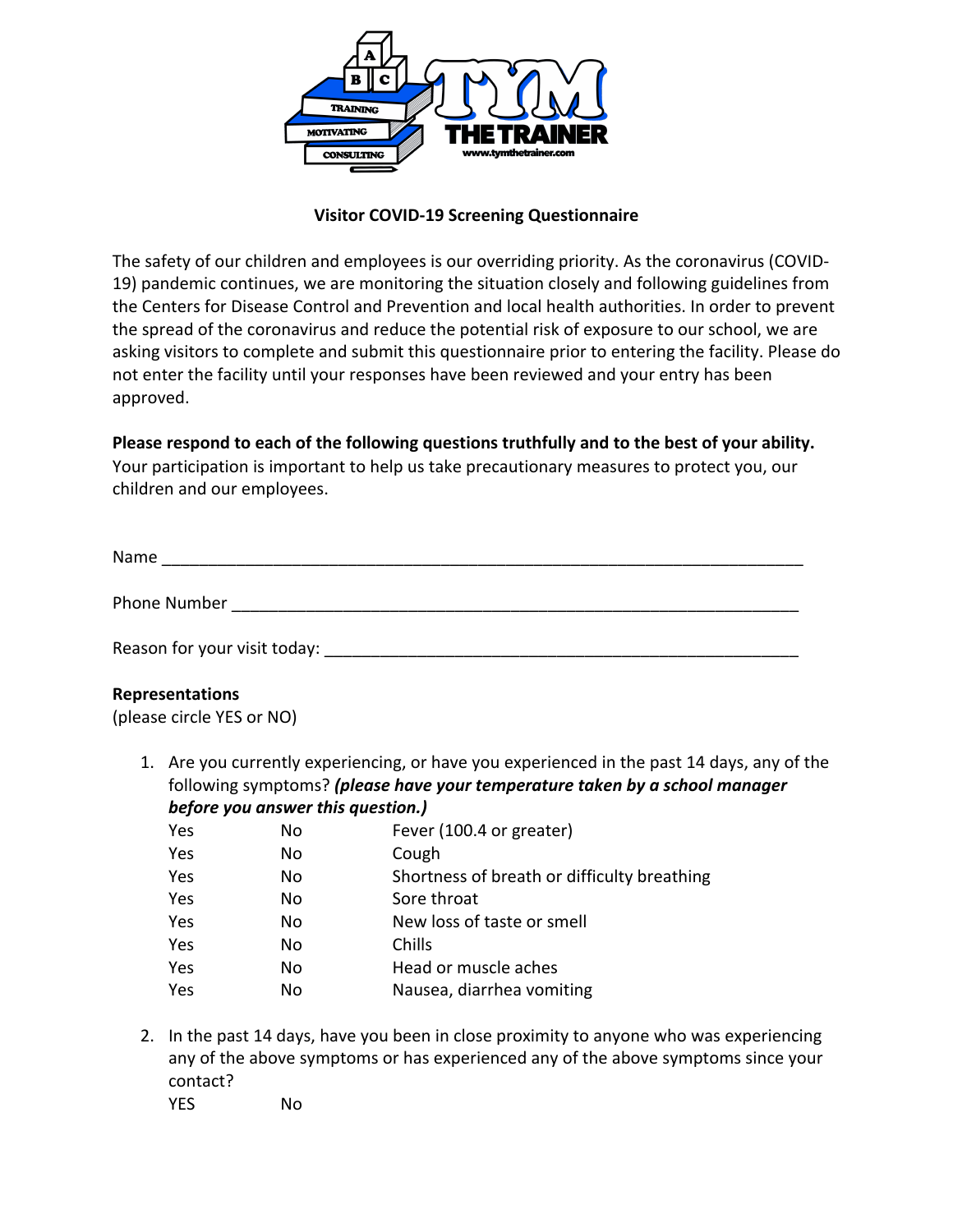

### **Visitor COVID-19 Screening Questionnaire**

The safety of our children and employees is our overriding priority. As the coronavirus (COVID-19) pandemic continues, we are monitoring the situation closely and following guidelines from the Centers for Disease Control and Prevention and local health authorities. In order to prevent the spread of the coronavirus and reduce the potential risk of exposure to our school, we are asking visitors to complete and submit this questionnaire prior to entering the facility. Please do not enter the facility until your responses have been reviewed and your entry has been approved.

## **Please respond to each of the following questions truthfully and to the best of your ability.**

Your participation is important to help us take precautionary measures to protect you, our children and our employees.

| Name         |  |  |  |
|--------------|--|--|--|
|              |  |  |  |
| Phone Number |  |  |  |

Reason for your visit today: \_\_\_\_\_\_\_\_\_\_\_\_\_\_\_\_\_\_\_\_\_\_\_\_\_\_\_\_\_\_\_\_\_\_\_\_\_\_\_\_\_\_\_\_\_\_\_\_\_\_\_

#### **Representations**

(please circle YES or NO)

1. Are you currently experiencing, or have you experienced in the past 14 days, any of the following symptoms? *(please have your temperature taken by a school manager before you answer this question.)*

| Yes | No | Fever (100.4 or greater)                    |
|-----|----|---------------------------------------------|
| Yes | No | Cough                                       |
| Yes | No | Shortness of breath or difficulty breathing |
| Yes | No | Sore throat                                 |
| Yes | No | New loss of taste or smell                  |
| Yes | No | Chills                                      |
| Yes | No | Head or muscle aches                        |
| Yes | No | Nausea, diarrhea vomiting                   |
|     |    |                                             |

2. In the past 14 days, have you been in close proximity to anyone who was experiencing any of the above symptoms or has experienced any of the above symptoms since your contact? YES No